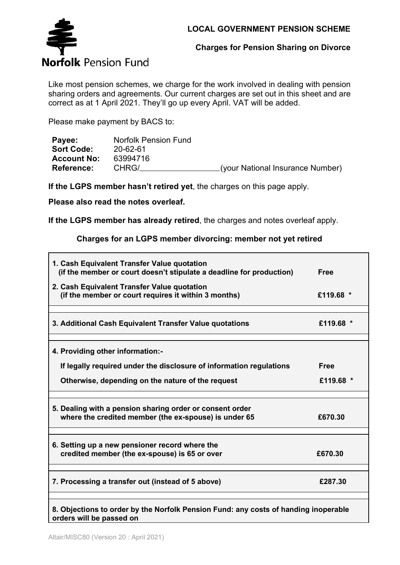

**Charges for Pension Sharing on Divorce**

Like most pension schemes, we charge for the work involved in dealing with pension sharing orders and agreements. Our current charges are set out in this sheet and are correct as at 1 April 2021. They'll go up every April. VAT will be added.

Please make payment by BACS to:

| Payee:             | Norfolk Pension Fund |                                  |
|--------------------|----------------------|----------------------------------|
| <b>Sort Code:</b>  | 20-62-61             |                                  |
| <b>Account No:</b> | 63994716             |                                  |
| <b>Reference:</b>  | CHRG/                | (your National Insurance Number) |

**If the LGPS member hasn't retired yet**, the charges on this page apply.

**Please also read the notes overleaf.**

**If the LGPS member has already retired**, the charges and notes overleaf apply.

**Charges for an LGPS member divorcing: member not yet retired**

| 1. Cash Equivalent Transfer Value quotation<br>(if the member or court doesn't stipulate a deadline for production) | <b>Free</b> |
|---------------------------------------------------------------------------------------------------------------------|-------------|
| 2. Cash Equivalent Transfer Value quotation<br>(if the member or court requires it within 3 months)                 | £119.68 *   |
| 3. Additional Cash Equivalent Transfer Value quotations                                                             | £119.68 *   |
| 4. Providing other information:-                                                                                    |             |
| If legally required under the disclosure of information regulations                                                 | <b>Free</b> |
| Otherwise, depending on the nature of the request                                                                   | £119.68 *   |
| 5. Dealing with a pension sharing order or consent order                                                            |             |
| where the credited member (the ex-spouse) is under 65                                                               | £670.30     |
| 6. Setting up a new pensioner record where the                                                                      |             |
| credited member (the ex-spouse) is 65 or over                                                                       | £670.30     |
| 7. Processing a transfer out (instead of 5 above)                                                                   | £287.30     |
| 8. Objections to order by the Norfolk Pension Fund: any costs of banding inonerable                                 |             |

**8. Objections to order by the Norfolk Pension Fund: any costs of handing inoperable orders will be passed on**